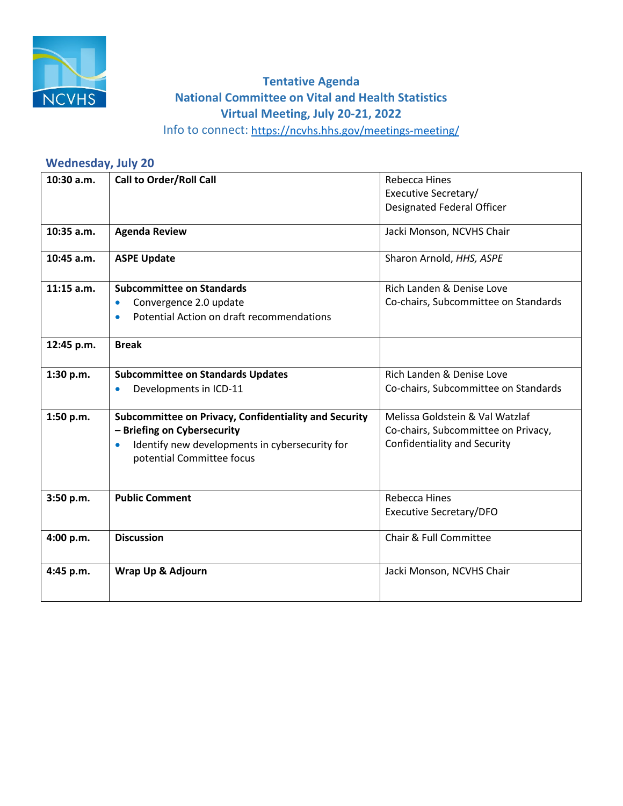

## **Virtual Meeting, July 20-21, 2022 Tentative Agenda National Committee on Vital and Health Statistics**

Info to connect:<https://ncvhs.hhs.gov/meetings-meeting/>

## **Wednesday, July 20**

| 10:30 a.m.   | <b>Call to Order/Roll Call</b>                              | <b>Rebecca Hines</b>                 |
|--------------|-------------------------------------------------------------|--------------------------------------|
|              |                                                             | Executive Secretary/                 |
|              |                                                             | <b>Designated Federal Officer</b>    |
| $10:35$ a.m. | <b>Agenda Review</b>                                        | Jacki Monson, NCVHS Chair            |
| 10:45 a.m.   | <b>ASPE Update</b>                                          | Sharon Arnold, HHS, ASPE             |
| $11:15$ a.m. | <b>Subcommittee on Standards</b>                            | Rich Landen & Denise Love            |
|              | Convergence 2.0 update<br>$\bullet$                         | Co-chairs, Subcommittee on Standards |
|              | Potential Action on draft recommendations<br>$\bullet$      |                                      |
| 12:45 p.m.   | <b>Break</b>                                                |                                      |
| 1:30 p.m.    | <b>Subcommittee on Standards Updates</b>                    | Rich Landen & Denise Love            |
|              | Developments in ICD-11<br>$\bullet$                         | Co-chairs, Subcommittee on Standards |
| 1:50 p.m.    | Subcommittee on Privacy, Confidentiality and Security       | Melissa Goldstein & Val Watzlaf      |
|              | - Briefing on Cybersecurity                                 | Co-chairs, Subcommittee on Privacy,  |
|              | Identify new developments in cybersecurity for<br>$\bullet$ | <b>Confidentiality and Security</b>  |
|              | potential Committee focus                                   |                                      |
|              |                                                             |                                      |
| 3:50 p.m.    | <b>Public Comment</b>                                       | <b>Rebecca Hines</b>                 |
|              |                                                             | <b>Executive Secretary/DFO</b>       |
| 4:00 p.m.    | <b>Discussion</b>                                           | Chair & Full Committee               |
|              |                                                             |                                      |
| 4:45 p.m.    | Wrap Up & Adjourn                                           | Jacki Monson, NCVHS Chair            |
|              |                                                             |                                      |